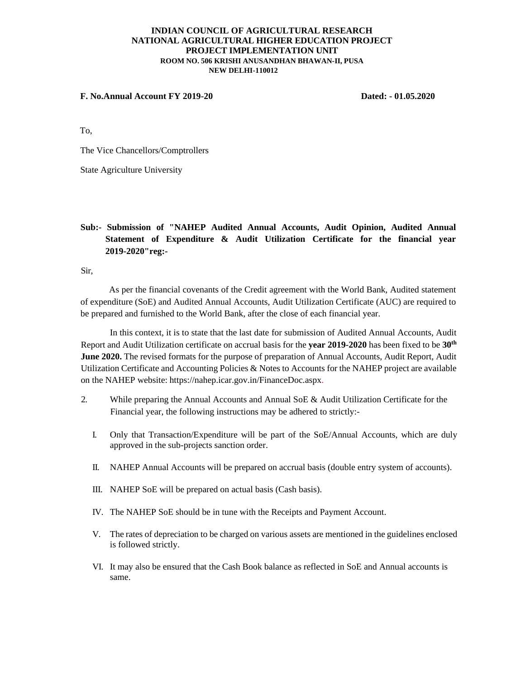#### **INDIAN COUNCIL OF AGRICULTURAL RESEARCH NATIONAL AGRICULTURAL HIGHER EDUCATION PROJECT PROJECT IMPLEMENTATION UNIT ROOM NO. 506 KRISHI ANUSANDHAN BHAWAN-II, PUSA NEW DELHI-110012**

#### **F. No.Annual Account FY 2019-20 Dated: - 01.05.2020**

To,

The Vice Chancellors/Comptrollers

State Agriculture University

# **Sub:- Submission of "NAHEP Audited Annual Accounts, Audit Opinion, Audited Annual Statement of Expenditure & Audit Utilization Certificate for the financial year 2019-2020"reg:-**

Sir,

As per the financial covenants of the Credit agreement with the World Bank, Audited statement of expenditure (SoE) and Audited Annual Accounts, Audit Utilization Certificate (AUC) are required to be prepared and furnished to the World Bank, after the close of each financial year.

In this context, it is to state that the last date for submission of Audited Annual Accounts, Audit Report and Audit Utilization certificate on accrual basis for the **year 2019-2020** has been fixed to be **30th June 2020.** The revised formats for the purpose of preparation of Annual Accounts, Audit Report, Audit Utilization Certificate and Accounting Policies & Notes to Accounts for the NAHEP project are available on the NAHEP website: https://nahep.icar.gov.in/FinanceDoc.aspx.

- 2. While preparing the Annual Accounts and Annual SoE & Audit Utilization Certificate for the Financial year, the following instructions may be adhered to strictly:-
	- I. Only that Transaction/Expenditure will be part of the SoE/Annual Accounts, which are duly approved in the sub-projects sanction order.
	- II. NAHEP Annual Accounts will be prepared on accrual basis (double entry system of accounts).
	- III. NAHEP SoE will be prepared on actual basis (Cash basis).
	- IV. The NAHEP SoE should be in tune with the Receipts and Payment Account.
	- V. The rates of depreciation to be charged on various assets are mentioned in the guidelines enclosed is followed strictly.
	- VI. It may also be ensured that the Cash Book balance as reflected in SoE and Annual accounts is same.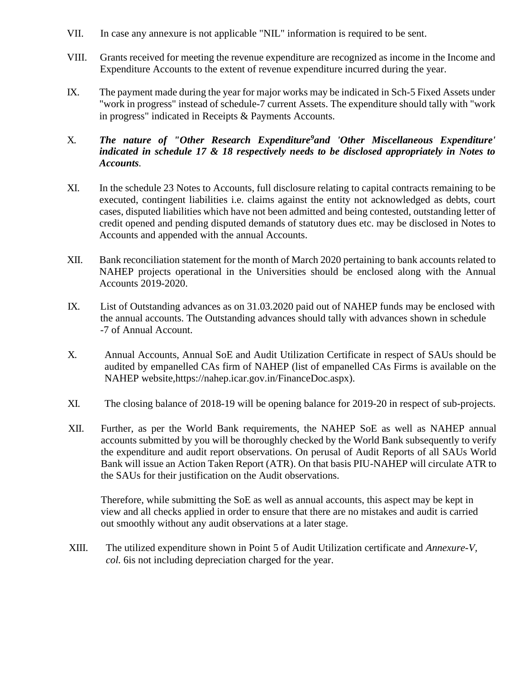- VII. In case any annexure is not applicable "NIL" information is required to be sent.
- VIII. Grants received for meeting the revenue expenditure are recognized as income in the Income and Expenditure Accounts to the extent of revenue expenditure incurred during the year.
- IX. The payment made during the year for major works may be indicated in Sch-5 Fixed Assets under "work in progress" instead of schedule-7 current Assets. The expenditure should tally with "work in progress" indicated in Receipts & Payments Accounts.

## X. *The nature of "Other Research Expenditure<sup>9</sup>and 'Other Miscellaneous Expenditure' indicated in schedule 17 & 18 respectively needs to be disclosed appropriately in Notes to Accounts.*

- XI. In the schedule 23 Notes to Accounts, full disclosure relating to capital contracts remaining to be executed, contingent liabilities i.e. claims against the entity not acknowledged as debts, court cases, disputed liabilities which have not been admitted and being contested, outstanding letter of credit opened and pending disputed demands of statutory dues etc. may be disclosed in Notes to Accounts and appended with the annual Accounts.
- XII. Bank reconciliation statement for the month of March 2020 pertaining to bank accounts related to NAHEP projects operational in the Universities should be enclosed along with the Annual Accounts 2019-2020.
- IX. List of Outstanding advances as on 31.03.2020 paid out of NAHEP funds may be enclosed with the annual accounts. The Outstanding advances should tally with advances shown in schedule -7 of Annual Account.
- X. Annual Accounts, Annual SoE and Audit Utilization Certificate in respect of SAUs should be audited by empanelled CAs firm of NAHEP (list of empanelled CAs Firms is available on the NAHEP website,https://nahep.icar.gov.in/FinanceDoc.aspx).
- XI. The closing balance of 2018-19 will be opening balance for 2019-20 in respect of sub-projects.
- XII. Further, as per the World Bank requirements, the NAHEP SoE as well as NAHEP annual accounts submitted by you will be thoroughly checked by the World Bank subsequently to verify the expenditure and audit report observations. On perusal of Audit Reports of all SAUs World Bank will issue an Action Taken Report (ATR). On that basis PIU-NAHEP will circulate ATR to the SAUs for their justification on the Audit observations.

 Therefore, while submitting the SoE as well as annual accounts, this aspect may be kept in view and all checks applied in order to ensure that there are no mistakes and audit is carried out smoothly without any audit observations at a later stage.

XIII. The utilized expenditure shown in Point 5 of Audit Utilization certificate and *Annexure-V, col.* 6is not including depreciation charged for the year.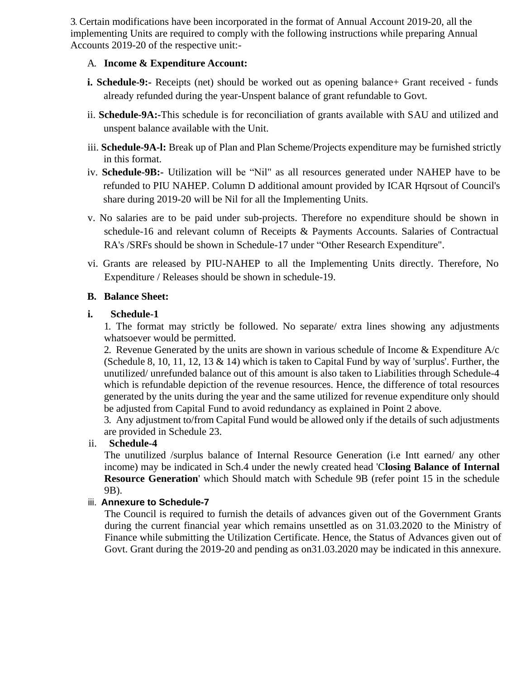3. Certain modifications have been incorporated in the format of Annual Account 2019-20, all the implementing Units are required to comply with the following instructions while preparing Annual Accounts 2019-20 of the respective unit:-

## A. **Income & Expenditure Account:**

- **i. Schedule-9:-** Receipts (net) should be worked out as opening balance + Grant received funds already refunded during the year-Unspent balance of grant refundable to Govt.
- ii. **Schedule-9A:-**This schedule is for reconciliation of grants available with SAU and utilized and unspent balance available with the Unit.
- iii. **Schedule-9A-l:** Break up of Plan and Plan Scheme/Projects expenditure may be furnished strictly in this format.
- iv. **Schedule-9B:-** Utilization will be "Nil" as all resources generated under NAHEP have to be refunded to PIU NAHEP. Column D additional amount provided by ICAR Hqrsout of Council's share during 2019-20 will be Nil for all the Implementing Units.
- v. No salaries are to be paid under sub-projects. Therefore no expenditure should be shown in schedule-16 and relevant column of Receipts & Payments Accounts. Salaries of Contractual RA's /SRFs should be shown in Schedule-17 under "Other Research Expenditure".
- vi. Grants are released by PIU-NAHEP to all the Implementing Units directly. Therefore, No Expenditure / Releases should be shown in schedule-19.

## **B. Balance Sheet:**

## **i. Schedule-1**

1. The format may strictly be followed. No separate/ extra lines showing any adjustments whatsoever would be permitted.

2. Revenue Generated by the units are shown in various schedule of Income & Expenditure A/c (Schedule 8, 10, 11, 12, 13  $\&$  14) which is taken to Capital Fund by way of 'surplus'. Further, the unutilized/ unrefunded balance out of this amount is also taken to Liabilities through Schedule-4 which is refundable depiction of the revenue resources. Hence, the difference of total resources generated by the units during the year and the same utilized for revenue expenditure only should be adjusted from Capital Fund to avoid redundancy as explained in Point 2 above.

3. Any adjustment to/from Capital Fund would be allowed only if the details of such adjustments are provided in Schedule 23.

## ii. **Schedule-4**

The unutilized /surplus balance of Internal Resource Generation (i.e Intt earned/ any other income) may be indicated in Sch.4 under the newly created head 'C**losing Balance of Internal Resource Generation**' which Should match with Schedule 9B (refer point 15 in the schedule 9B).

## iii. **Annexure to Schedule-7**

The Council is required to furnish the details of advances given out of the Government Grants during the current financial year which remains unsettled as on 31.03.2020 to the Ministry of Finance while submitting the Utilization Certificate. Hence, the Status of Advances given out of Govt. Grant during the 2019-20 and pending as on31.03.2020 may be indicated in this annexure.